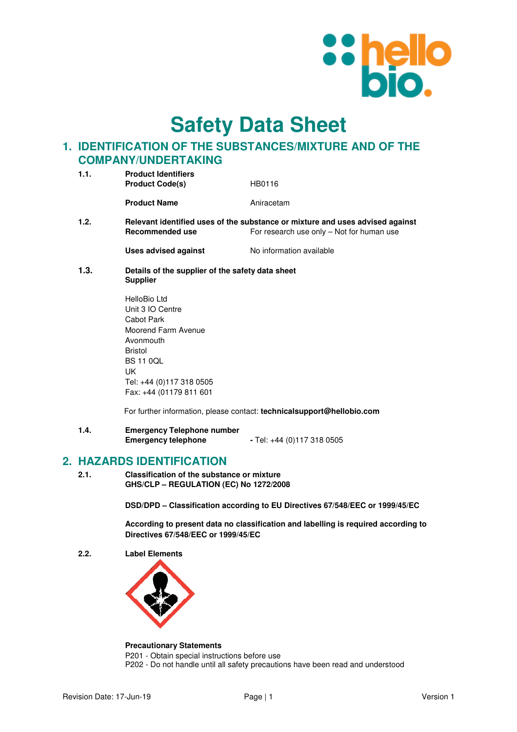

**Safety Data Sheet**

# **1. IDENTIFICATION OF THE SUBSTANCES/MIXTURE AND OF THE COMPANY/UNDERTAKING**

| 1.1.                                                                                                     | <b>Product Identifiers</b>                       |                                           |
|----------------------------------------------------------------------------------------------------------|--------------------------------------------------|-------------------------------------------|
|                                                                                                          | <b>Product Code(s)</b>                           | HB0116                                    |
|                                                                                                          | <b>Product Name</b>                              | Aniracetam                                |
| 1.2.<br>Relevant identified uses of the substance or mixture and uses advised against<br>Recommended use |                                                  | For research use only - Not for human use |
|                                                                                                          | Uses advised against                             | No information available                  |
| 1.3.                                                                                                     | Details of the supplier of the safety data sheet |                                           |

- **Supplier**
- HelloBio Ltd Unit 3 IO Centre Cabot Park Moorend Farm Avenue Avonmouth Bristol BS 11 0QL UK Tel: +44 (0)117 318 0505 Fax: +44 (01179 811 601

For further information, please contact: **technicalsupport@hellobio.com** 

**1.4. Emergency Telephone number Emergency telephone -** Tel: +44 (0)117 318 0505

## **2. HAZARDS IDENTIFICATION**

**2.1. Classification of the substance or mixture GHS/CLP – REGULATION (EC) No 1272/2008** 

**DSD/DPD – Classification according to EU Directives 67/548/EEC or 1999/45/EC** 

**According to present data no classification and labelling is required according to Directives 67/548/EEC or 1999/45/EC** 

**2.2. Label Elements** 



#### **Precautionary Statements**

P201 - Obtain special instructions before use P202 - Do not handle until all safety precautions have been read and understood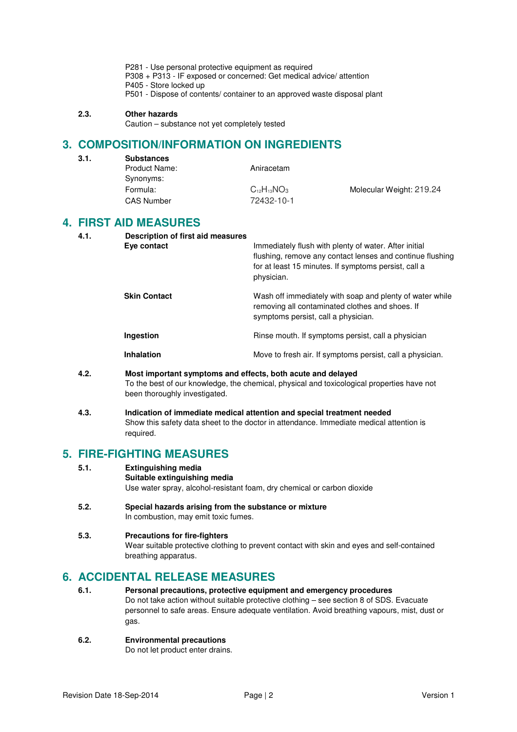- P281 Use personal protective equipment as required
- P308 + P313 IF exposed or concerned: Get medical advice/ attention
- P405 Store locked up
- P501 Dispose of contents/ container to an approved waste disposal plant

### **2.3. Other hazards**

 $3.1.$ 

Caution – substance not yet completely tested

## **3. COMPOSITION/INFORMATION ON INGREDIENTS**

| <b>Substances</b> |                    |                          |
|-------------------|--------------------|--------------------------|
| Product Name:     | Aniracetam         |                          |
| Synonyms:         |                    |                          |
| Formula:          | $C_{12}H_{13}NO_3$ | Molecular Weight: 219.24 |
| <b>CAS Number</b> | 72432-10-1         |                          |
|                   |                    |                          |

## **4. FIRST AID MEASURES**

| 4.1. | Description of first aid measures<br>Eye contact | Immediately flush with plenty of water. After initial<br>flushing, remove any contact lenses and continue flushing<br>for at least 15 minutes. If symptoms persist, call a<br>physician. |
|------|--------------------------------------------------|------------------------------------------------------------------------------------------------------------------------------------------------------------------------------------------|
|      | <b>Skin Contact</b>                              | Wash off immediately with soap and plenty of water while<br>removing all contaminated clothes and shoes. If<br>symptoms persist, call a physician.                                       |
|      | Ingestion                                        | Rinse mouth. If symptoms persist, call a physician                                                                                                                                       |
|      | <b>Inhalation</b>                                | Move to fresh air. If symptoms persist, call a physician.                                                                                                                                |
|      |                                                  |                                                                                                                                                                                          |

- **4.2. Most important symptoms and effects, both acute and delayed**  To the best of our knowledge, the chemical, physical and toxicological properties have not been thoroughly investigated.
- **4.3. Indication of immediate medical attention and special treatment needed**  Show this safety data sheet to the doctor in attendance. Immediate medical attention is required.

# **5. FIRE-FIGHTING MEASURES**

| 5.1. | <b>Extinguishing media</b>                                              |  |  |
|------|-------------------------------------------------------------------------|--|--|
|      | Suitable extinguishing media                                            |  |  |
|      | Use water spray, alcohol-resistant foam, dry chemical or carbon dioxide |  |  |

**5.2. Special hazards arising from the substance or mixture**  In combustion, may emit toxic fumes.

### **5.3. Precautions for fire-fighters**  Wear suitable protective clothing to prevent contact with skin and eyes and self-contained breathing apparatus.

## **6. ACCIDENTAL RELEASE MEASURES**

- **6.1. Personal precautions, protective equipment and emergency procedures**  Do not take action without suitable protective clothing – see section 8 of SDS. Evacuate personnel to safe areas. Ensure adequate ventilation. Avoid breathing vapours, mist, dust or gas.
- **6.2. Environmental precautions**

Do not let product enter drains.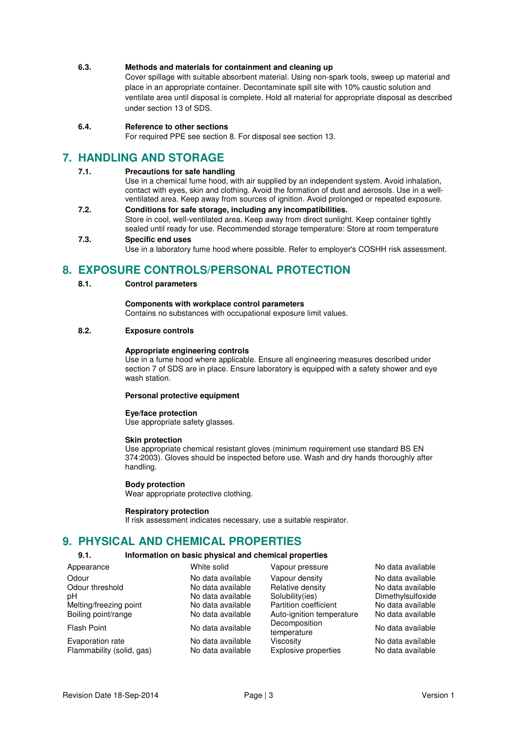### **6.3. Methods and materials for containment and cleaning up**

Cover spillage with suitable absorbent material. Using non-spark tools, sweep up material and place in an appropriate container. Decontaminate spill site with 10% caustic solution and ventilate area until disposal is complete. Hold all material for appropriate disposal as described under section 13 of SDS.

### **6.4. Reference to other sections**

For required PPE see section 8. For disposal see section 13.

## **7. HANDLING AND STORAGE**

### **7.1. Precautions for safe handling**

Use in a chemical fume hood, with air supplied by an independent system. Avoid inhalation, contact with eyes, skin and clothing. Avoid the formation of dust and aerosols. Use in a wellventilated area. Keep away from sources of ignition. Avoid prolonged or repeated exposure.

**7.2. Conditions for safe storage, including any incompatibilities.**  Store in cool, well-ventilated area. Keep away from direct sunlight. Keep container tightly

#### sealed until ready for use. Recommended storage temperature: Store at room temperature **7.3. Specific end uses**

Use in a laboratory fume hood where possible. Refer to employer's COSHH risk assessment.

# **8. EXPOSURE CONTROLS/PERSONAL PROTECTION**

### **8.1. Control parameters**

### **Components with workplace control parameters**

Contains no substances with occupational exposure limit values.

### **8.2. Exposure controls**

### **Appropriate engineering controls**

Use in a fume hood where applicable. Ensure all engineering measures described under section 7 of SDS are in place. Ensure laboratory is equipped with a safety shower and eye wash station.

### **Personal protective equipment**

### **Eye/face protection**

Use appropriate safety glasses.

#### **Skin protection**

Use appropriate chemical resistant gloves (minimum requirement use standard BS EN 374:2003). Gloves should be inspected before use. Wash and dry hands thoroughly after handling.

#### **Body protection**

Wear appropriate protective clothing.

#### **Respiratory protection**

If risk assessment indicates necessary, use a suitable respirator.

## **9. PHYSICAL AND CHEMICAL PROPERTIES**

## **9.1. Information on basic physical and chemical properties**

| Appearance                                    | White solid                            | Vapour pressure                          | No data available                      |
|-----------------------------------------------|----------------------------------------|------------------------------------------|----------------------------------------|
| Odour<br>Odour threshold                      | No data available<br>No data available | Vapour density<br>Relative density       | No data available<br>No data available |
| рH                                            | No data available                      | Solubility(ies)                          | Dimethylsulfoxide                      |
| Melting/freezing point                        | No data available                      | Partition coefficient                    | No data available                      |
| Boiling point/range                           | No data available                      | Auto-ignition temperature                | No data available                      |
| <b>Flash Point</b>                            | No data available                      | Decomposition<br>temperature             | No data available                      |
| Evaporation rate<br>Flammability (solid, gas) | No data available<br>No data available | Viscosity<br><b>Explosive properties</b> | No data available<br>No data available |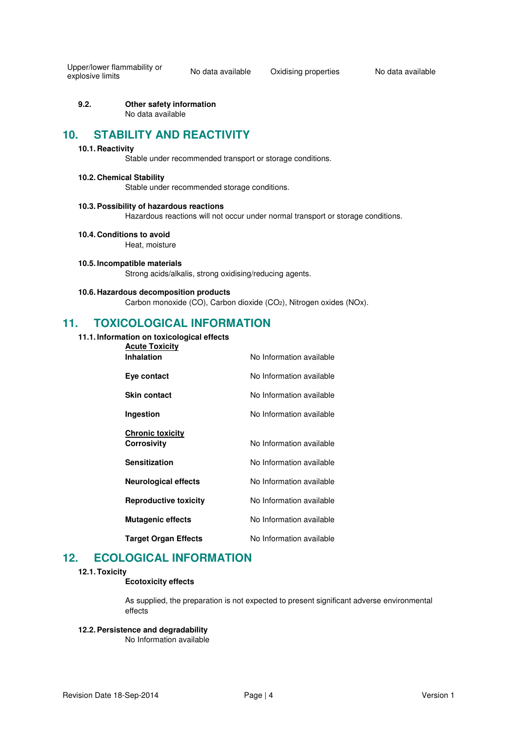Upper/lower flammability or

**9.2. Other safety information**  No data available

## **10. STABILITY AND REACTIVITY**

### **10.1. Reactivity**

Stable under recommended transport or storage conditions.

## **10.2. Chemical Stability**

Stable under recommended storage conditions.

#### **10.3. Possibility of hazardous reactions**

Hazardous reactions will not occur under normal transport or storage conditions.

**10.4. Conditions to avoid** 

Heat, moisture

**10.5. Incompatible materials**  Strong acids/alkalis, strong oxidising/reducing agents.

#### **10.6. Hazardous decomposition products**

Carbon monoxide (CO), Carbon dioxide (CO2), Nitrogen oxides (NOx).

## **11. TOXICOLOGICAL INFORMATION**

#### **11.1. Information on toxicological effects Acute Toxicity**

| ACULE TUXICILY<br>Inhalation           | No Information available |
|----------------------------------------|--------------------------|
| Eye contact                            | No Information available |
| <b>Skin contact</b>                    | No Information available |
| Ingestion                              | No Information available |
| <b>Chronic toxicity</b><br>Corrosivity | No Information available |
| <b>Sensitization</b>                   | No Information available |
| <b>Neurological effects</b>            | No Information available |
| <b>Reproductive toxicity</b>           | No Information available |
| <b>Mutagenic effects</b>               | No Information available |
| <b>Target Organ Effects</b>            | No Information available |

# **12. ECOLOGICAL INFORMATION**

### **12.1. Toxicity**

### **Ecotoxicity effects**

As supplied, the preparation is not expected to present significant adverse environmental effects

## **12.2. Persistence and degradability**

No Information available